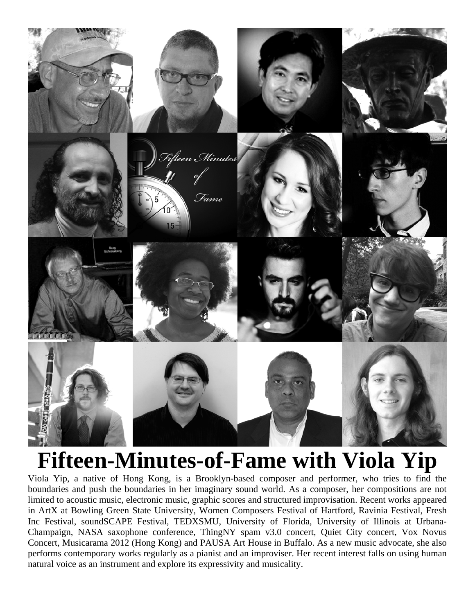

# **Fifteen-Minutes-of-Fame with Viola Yip**

Viola Yip, a native of Hong Kong, is a Brooklyn-based composer and performer, who tries to find the boundaries and push the boundaries in her imaginary sound world. As a composer, her compositions are not limited to acoustic music, electronic music, graphic scores and structured improvisation. Recent works appeared in ArtX at Bowling Green State University, Women Composers Festival of Hartford, Ravinia Festival, Fresh Inc Festival, soundSCAPE Festival, TEDXSMU, University of Florida, University of Illinois at Urbana-Champaign, NASA saxophone conference, ThingNY spam v3.0 concert, Quiet City concert, Vox Novus Concert, Musicarama 2012 (Hong Kong) and PAUSA Art House in Buffalo. As a new music advocate, she also performs contemporary works regularly as a pianist and an improviser. Her recent interest falls on using human natural voice as an instrument and explore its expressivity and musicality.